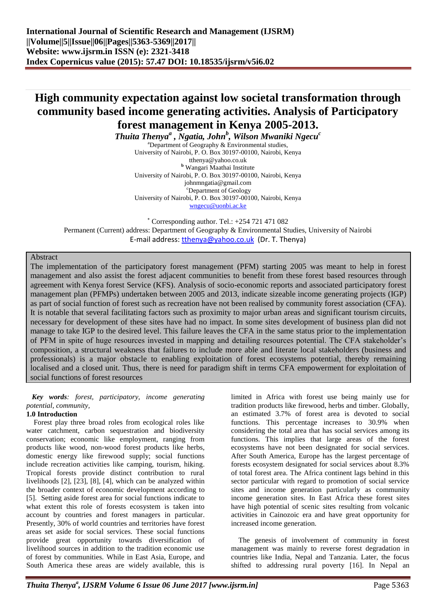# **High community expectation against low societal transformation through community based income generating activities. Analysis of Participatory forest management in Kenya 2005-2013.**

*Thuita Thenya<sup>a</sup> , Ngatia, John<sup>b</sup> , Wilson Mwaniki Ngecu<sup>c</sup>*

<sup>a</sup>Department of Geography & Environmental studies, University of Nairobi, P. O. Box 30197-00100, Nairobi, Kenya tthenya@yahoo.co.uk **<sup>b</sup>** Wangari Maathai Institute University of Nairobi, P. O. Box 30197-00100, Nairobi, Kenya johnmngatia@gmail.com <sup>c</sup>Department of Geology University of Nairobi, P. O. Box 30197-00100, Nairobi, Kenya [wngecu@uonbi.ac.ke](mailto:wngecu@uonbi.ac.ke)

 $*$  Corresponding author. Tel.:  $+254721471082$ Permanent (Current) address: Department of Geography & Environmental Studies, University of Nairobi E-mail address: thenya@yahoo.co.uk (Dr. T. Thenya)

## Abstract

The implementation of the participatory forest management (PFM) starting 2005 was meant to help in forest management and also assist the forest adjacent communities to benefit from these forest based resources through agreement with Kenya forest Service (KFS). Analysis of socio-economic reports and associated participatory forest management plan (PFMPs) undertaken between 2005 and 2013, indicate sizeable income generating projects (IGP) as part of social function of forest such as recreation have not been realised by community forest association (CFA). It is notable that several facilitating factors such as proximity to major urban areas and significant tourism circuits, necessary for development of these sites have had no impact. In some sites development of business plan did not manage to take IGP to the desired level. This failure leaves the CFA in the same status prior to the implementation of PFM in spite of huge resources invested in mapping and detailing resources potential. The CFA stakeholder's composition, a structural weakness that failures to include more able and literate local stakeholders (business and professionals) is a major obstacle to enabling exploitation of forest ecosystems potential, thereby remaining localised and a closed unit. Thus, there is need for paradigm shift in terms CFA empowerment for exploitation of social functions of forest resources

## *Key words: forest, participatory, income generating potential, community,*

## **1.0 Introduction**

Forest play three broad roles from ecological roles like water catchment, carbon sequestration and biodiversity conservation; economic like employment, ranging from products like wood, non-wood forest products like herbs, domestic energy like firewood supply; social functions include recreation activities like camping, tourism, hiking. Tropical forests provide distinct contribution to rural livelihoods [2], [23], [8], [4], which can be analyzed within the broader context of economic development according to [5]. Setting aside forest area for social functions indicate to what extent this role of forests ecosystem is taken into account by countries and forest managers in particular. Presently, 30% of world countries and territories have forest areas set aside for social services. These social functions provide great opportunity towards diversification of livelihood sources in addition to the tradition economic use of forest by communities. While in East Asia, Europe, and South America these areas are widely available, this is

limited in Africa with forest use being mainly use for tradition products like firewood, herbs and timber. Globally, an estimated 3.7% of forest area is devoted to social functions. This percentage increases to 30.9% when considering the total area that has social services among its functions. This implies that large areas of the forest ecosystems have not been designated for social services. After South America, Europe has the largest percentage of forests ecosystem designated for social services about 8.3% of total forest area. The Africa continent lags behind in this sector particular with regard to promotion of social service sites and income generation particularly as community income generation sites. In East Africa these forest sites have high potential of scenic sites resulting from volcanic activities in Cainozoic era and have great opportunity for increased income generation.

The genesis of involvement of community in forest management was mainly to reverse forest degradation in countries like India, Nepal and Tanzania. Later, the focus shifted to addressing rural poverty [16]. In Nepal an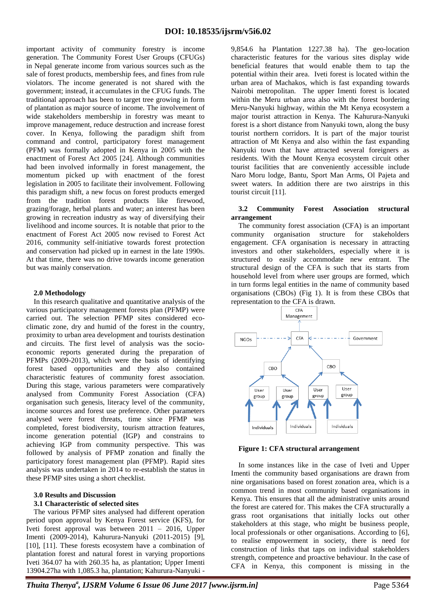important activity of community forestry is income generation. The Community Forest User Groups (CFUGs) in Nepal generate income from various sources such as the sale of forest products, membership fees, and fines from rule violators. The income generated is not shared with the government; instead, it accumulates in the CFUG funds. The traditional approach has been to target tree growing in form of plantation as major source of income. The involvement of wide stakeholders membership in forestry was meant to improve management, reduce destruction and increase forest cover. In Kenya, following the paradigm shift from command and control, participatory forest management (PFM) was formally adopted in Kenya in 2005 with the enactment of Forest Act 2005 [24]. Although communities had been involved informally in forest management, the momentum picked up with enactment of the forest legislation in 2005 to facilitate their involvement. Following this paradigm shift, a new focus on forest products emerged from the tradition forest products like firewood, grazing/forage, herbal plants and water; an interest has been growing in recreation industry as way of diversifying their livelihood and income sources. It is notable that prior to the enactment of Forest Act 2005 now revised to Forest Act 2016, community self-initiative towards forest protection and conservation had picked up in earnest in the late 1990s. At that time, there was no drive towards income generation but was mainly conservation.

#### **2.0 Methodology**

In this research qualitative and quantitative analysis of the various participatory management forests plan (PFMP) were carried out. The selection PFMP sites considered ecoclimatic zone, dry and humid of the forest in the country, proximity to urban area development and tourists destination and circuits. The first level of analysis was the socioeconomic reports generated during the preparation of PFMPs (2009-2013), which were the basis of identifying forest based opportunities and they also contained characteristic features of community forest association. During this stage, various parameters were comparatively analysed from Community Forest Association (CFA) organisation such genesis, literacy level of the community, income sources and forest use preference. Other parameters analysed were forest threats, time since PFMP was completed, forest biodiversity, tourism attraction features, income generation potential (IGP) and constrains to achieving IGP from community perspective. This was followed by analysis of PFMP zonation and finally the participatory forest management plan (PFMP). Rapid sites analysis was undertaken in 2014 to re-establish the status in these PFMP sites using a short checklist.

#### **3.0 Results and Discussion**

### **3.1 Characteristic of selected sites**

The various PFMP sites analysed had different operation period upon approval by Kenya Forest service (KFS), for Iveti forest approval was between 2011 – 2016, Upper Imenti (2009-2014), Kahurura-Nanyuki (2011-2015) [9], [10], [11]. These forests ecosystem have a combination of plantation forest and natural forest in varying proportions Iveti 364.07 ha with 260.35 ha, as plantation; Upper Imenti 13904.27ha with 1,085.3 ha, plantation; Kahurura-Nanyuki -

9,854.6 ha Plantation 1227.38 ha). The geo-location characteristic features for the various sites display wide beneficial features that would enable them to tap the potential within their area. Iveti forest is located within the urban area of Machakos, which is fast expanding towards Nairobi metropolitan. The upper Imenti forest is located within the Meru urban area also with the forest bordering Meru-Nanyuki highway, within the Mt Kenya ecosystem a major tourist attraction in Kenya. The Kahurura-Nanyuki forest is a short distance from Nanyuki town, along the busy tourist northern corridors. It is part of the major tourist attraction of Mt Kenya and also within the fast expanding Nanyuki town that have attracted several foreigners as residents. With the Mount Kenya ecosystem circuit other tourist facilities that are conveniently accessible include Naro Moru lodge, Bantu, Sport Man Arms, Ol Pajeta and sweet waters. In addition there are two airstrips in this tourist circuit [11].

#### **3.2 Community Forest Association structural arrangement**

The community forest association (CFA) is an important community organisation structure for stakeholders engagement. CFA organisation is necessary in attracting investors and other stakeholders, especially where it is structured to easily accommodate new entrant. The structural design of the CFA is such that its starts from household level from where user groups are formed, which in turn forms legal entities in the name of community based organisations (CBOs) (Fig 1). It is from these CBOs that representation to the CFA is drawn.



**Figure 1: CFA structural arrangement**

In some instances like in the case of Iveti and Upper Imenti the community based organisations are drawn from nine organisations based on forest zonation area, which is a common trend in most community based organisations in Kenya. This ensures that all the administrative units around the forest are catered for. This makes the CFA structurally a grass root organisations that initially locks out other stakeholders at this stage, who might be business people, local professionals or other organisations. According to [6], to realise empowerment in society, there is need for construction of links that taps on individual stakeholders strength, competence and proactive behaviour. In the case of CFA in Kenya, this component is missing in the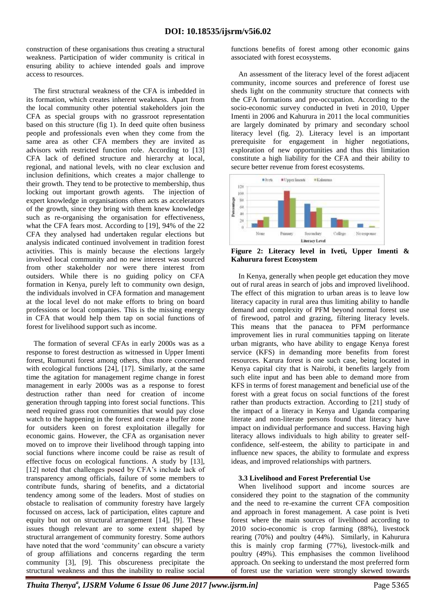construction of these organisations thus creating a structural weakness. Participation of wider community is critical in ensuring ability to achieve intended goals and improve access to resources.

The first structural weakness of the CFA is imbedded in its formation, which creates inherent weakness. Apart from the local community other potential stakeholders join the CFA as special groups with no grassroot representation based on this structure (fig 1). In deed quite often business people and professionals even when they come from the same area as other CFA members they are invited as advisors with restricted function role. According to [13] CFA lack of defined structure and hierarchy at local, regional, and national levels, with no clear exclusion and inclusion definitions, which creates a major challenge to their growth. They tend to be protective to membership, thus locking out important growth agents. The injection of expert knowledge in organisations often acts as accelerators of the growth, since they bring with them knew knowledge such as re-organising the organisation for effectiveness, what the CFA fears most. According to [19], 94% of the 22 CFA they analysed had undertaken regular elections but analysis indicated continued involvement in tradition forest activities. This is mainly because the elections largely involved local community and no new interest was sourced from other stakeholder nor were there interest from outsiders. While there is no guiding policy on CFA formation in Kenya, purely left to community own design, the individuals involved in CFA formation and management at the local level do not make efforts to bring on board professions or local companies. This is the missing energy in CFA that would help them tap on social functions of forest for livelihood support such as income.

The formation of several CFAs in early 2000s was as a response to forest destruction as witnessed in Upper Imenti forest, Rumuruti forest among others, thus more concerned with ecological functions [24], [17]. Similarly, at the same time the agitation for management regime change in forest management in early 2000s was as a response to forest destruction rather than need for creation of income generation through tapping into forest social functions. This need required grass root communities that would pay close watch to the happening in the forest and create a buffer zone for outsiders keen on forest exploitation illegally for economic gains. However, the CFA as organisation never moved on to improve their livelihood through tapping into social functions where income could be raise as result of effective focus on ecological functions. A study by [13], [12] noted that challenges posed by CFA's include lack of transparency among officials, failure of some members to contribute funds, sharing of benefits, and a dictatorial tendency among some of the leaders. Most of studies on obstacle to realisation of community forestry have largely focussed on access, lack of participation, elites capture and equity but not on structural arrangement [14], [9]. These issues though relevant are to some extent shaped by structural arrangement of community forestry. Some authors have noted that the word 'community' can obscure a variety of group affiliations and concerns regarding the term community [3], [9]. This obscureness precipitate the structural weakness and thus the inability to realise social

functions benefits of forest among other economic gains associated with forest ecosystems.

An assessment of the literacy level of the forest adjacent community, income sources and preference of forest use sheds light on the community structure that connects with the CFA formations and pre-occupation. According to the socio-economic survey conducted in Iveti in 2010, Upper Imenti in 2006 and Kahurura in 2011 the local communities are largely dominated by primary and secondary school literacy level (fig. 2). Literacy level is an important prerequisite for engagement in higher negotiations, exploration of new opportunities and thus this limitation constitute a high liability for the CFA and their ability to secure better revenue from forest ecosystems.



**Figure 2: Literacy level in Iveti, Upper Imenti & Kahurura forest Ecosystem**

In Kenya, generally when people get education they move out of rural areas in search of jobs and improved livelihood. The effect of this migration to urban areas is to leave low literacy capacity in rural area thus limiting ability to handle demand and complexity of PFM beyond normal forest use of firewood, patrol and grazing, filtering literacy levels. This means that the panacea to PFM performance improvement lies in rural communities tapping on literate urban migrants, who have ability to engage Kenya forest service (KFS) in demanding more benefits from forest resources. Karura forest is one such case, being located in Kenya capital city that is Nairobi, it benefits largely from such elite input and has been able to demand more from KFS in terms of forest management and beneficial use of the forest with a great focus on social functions of the forest rather than products extraction. According to [21] study of the impact of a literacy in Kenya and Uganda comparing literate and non-literate persons found that literacy have impact on individual performance and success. Having high literacy allows individuals to high ability to greater selfconfidence, self-esteem, the ability to participate in and influence new spaces, the ability to formulate and express ideas, and improved relationships with partners.

## **3.3 Livelihood and Forest Preferential Use**

When livelihood support and income sources are considered they point to the stagnation of the community and the need to re-examine the current CFA composition and approach in forest management. A case point is Iveti forest where the main sources of livelihood according to 2010 socio-economic is crop farming (88%), livestock rearing (70%) and poultry (44%). Similarly, in Kahurura this is mainly crop farming (77%), livestock-milk and poultry (49%). This emphasises the common livelihood approach. On seeking to understand the most preferred form of forest use the variation were strongly skewed towards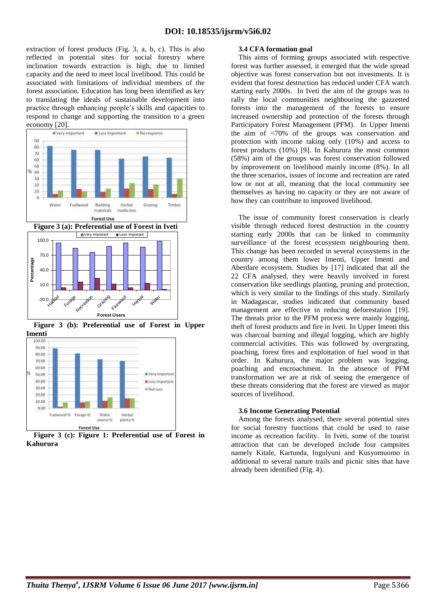extraction of forest products (Fig. 3, a, b, c). This is also reflected in potential sites for social forestry where inclination towards extraction is high, due to limited capacity and the need to meet local livelihood. This could be associated with limitations of individual members of the forest association. Education has long been identified as key to translating the ideals of sustainable development into practice through enhancing people's skills and capacities to respond to change and supporting the transition to a green economy [20].



**Figure 3 (b): Preferential use of Forest in Upper** 



**Figure 3 (c): Figure 1: Preferential use of Forest in Kahurura**

#### **3.4 CFA formation goal**

This aims of forming groups associated with respective forest was further assessed, it emerged that the wide spread objective was forest conservation but not investments. It is evident that forest destruction has reduced under CFA watch starting early 2000s. In Iveti the aim of the groups was to rally the local communities neighbouring the gazzetted forests into the management of the forests to ensure increased ownership and protection of the forests through Participatory Forest Management (PFM). In Upper Imenti the aim of <70% of the groups was conservation and protection with income taking only (10%) and access to forest products (10%) [9]. In Kahurura the most common (58%) aim of the groups was forest conservation followed by improvement on livelihood mainly income (8%). In all the three scenarios, issues of income and recreation are rated low or not at all, meaning that the local community see themselves as having no capacity or they are not aware of how they can contribute to improved livelihood.

The issue of community forest conservation is clearly visible through reduced forest destruction in the country starting early 2000s that can be linked to community surveillance of the forest ecosystem neighbouring them. This change has been recorded in several ecosystems in the country among them lower Imenti, Upper Imenti and Aberdare ecosystem. Studies by [17] indicated that all the 22 CFA analysed, they were heavily involved in forest conservation like seedlings planting, pruning and protection, which is very similar to the findings of this study. Similarly in Madagascar, studies indicated that community based management are effective in reducing deforestation [19]. The threats prior to the PFM process were mainly logging, theft of forest products and fire in Iveti. In Upper Imenti this was charcoal burning and illegal logging, which are highly commercial activities. This was followed by overgrazing, poaching, forest fires and exploitation of fuel wood in that order. In Kahurura, the major problem was logging, poaching and encroachment. In the absence of PFM transformation we are at risk of seeing the emergence of these threats considering that the forest are viewed as major sources of livelihood.

## **3.6 Income Generating Potential**

Among the forests analysed, there several potential sites for social forestry functions that could be used to raise income as recreation facility. In Iveti, some of the tourist attraction that can be developed include four campsites namely Kitale, Kartunda, Ingulyuni and Kusyomuomo in additional to several nature trails and picnic sites that have already been identified (Fig. 4).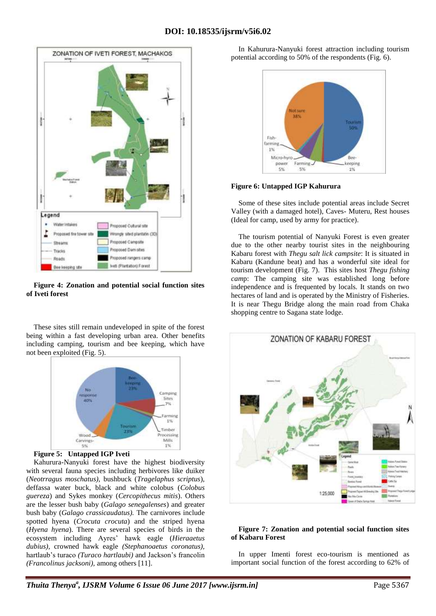

**Figure 4: Zonation and potential social function sites of Iveti forest**

These sites still remain undeveloped in spite of the forest being within a fast developing urban area. Other benefits including camping, tourism and bee keeping, which have not been exploited (Fig. 5).





Kahurura-Nanyuki forest have the highest biodiversity with several fauna species including herbivores like duiker (*Neotrragus moschatus),* bushbuck (*Tragelaphus scriptus*), deffassa water buck, black and white colobus (*Colobus guereza*) and Sykes monkey (*Cercopithecus mitis*). Others are the lesser bush baby (*Galago senegalenses*) and greater bush baby (*Galago crassicaudatus).* The carnivores include spotted hyena (*Crocuta crocuta*) and the striped hyena (*Hyena hyena*). There are several species of birds in the ecosystem including Ayres' hawk eagle (*Hieraaetus dubius),* crowned hawk eagle *(Stephanoaetus coronatus),* hartlaub's turaco *(Turaco hartlaubi)* and Jackson's francolin *(Francolinus jacksoni),* among others [11].

In Kahurura-Nanyuki forest attraction including tourism potential according to 50% of the respondents (Fig. 6).



**Figure 6: Untapped IGP Kahurura**

Some of these sites include potential areas include Secret Valley (with a damaged hotel), Caves- Muteru, Rest houses (Ideal for camp, used by army for practice).

The tourism potential of Nanyuki Forest is even greater due to the other nearby tourist sites in the neighbouring Kabaru forest with *Thegu salt lick campsite*: It is situated in Kabaru (Kandune beat) and has a wonderful site ideal for tourism development (Fig. 7). This sites host *Thegu fishing cam*p: The camping site was established long before independence and is frequented by locals. It stands on two hectares of land and is operated by the Ministry of Fisheries. It is near Thegu Bridge along the main road from Chaka shopping centre to Sagana state lodge.



#### **Figure 7: Zonation and potential social function sites of Kabaru Forest**

In upper Imenti forest eco-tourism is mentioned as important social function of the forest according to 62% of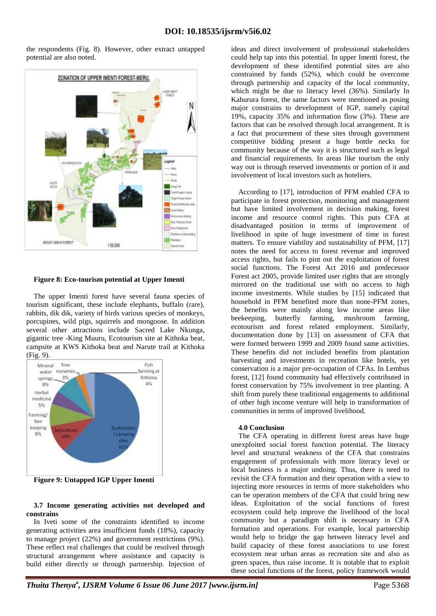the respondents (Fig. 8). However, other extract untapped potential are also noted.



## **Figure 8: Eco-tourism potential at Upper Imenti**

The upper Imenti forest have several fauna species of tourism significant, these include elephants, buffalo (rare), rabbits, dik dik, variety of birds various species of monkeys, porcupines, wild pigs, squirrels and mongoose. In addition several other attractions include Sacred Lake Nkunga, gigantic tree -King Muuru, Ecotourism site at Kithoka beat, campsite at KWS Kithoka beat and Narute trail at Kithoka (Fig. 9).



**Figure 9: Untapped IGP Upper Imenti**

#### **3.7 Income generating activities not developed and constrains**

In Iveti some of the constraints identified to income generating activities area insufficient funds (18%), capacity to manage project (22%) and government restrictions (9%). These reflect real challenges that could be resolved through structural arrangement where assistance and capacity is build either directly or through partnership. Injection of

ideas and direct involvement of professional stakeholders could help tap into this potential. In upper Imenti forest, the development of these identified potential sites are also constrained by funds (52%), which could be overcome through partnership and capacity of the local community, which might be due to literacy level (36%). Similarly In Kahurura forest, the same factors were mentioned as posing major constrains to development of IGP, namely capital 19%, capacity 35% and information flow (3%). These are factors that can be resolved through local arrangement. It is a fact that procurement of these sites through government competitive bidding present a huge bottle necks for community because of the way it is structured such as legal and financial requirements. In areas like tourism the only way out is through reserved investments or portion of it and involvement of local investors such as hoteliers.

According to [17], introduction of PFM enabled CFA to participate in forest protection, monitoring and management but have limited involvement in decision making, forest income and resource control rights. This puts CFA at disadvantaged position in terms of improvement of livelihood in spite of huge investment of time in forest matters. To ensure viability and sustainability of PFM, [17] notes the need for access to forest revenue and improved access rights, but fails to pint out the exploitation of forest social functions. The Forest Act 2016 and predecessor Forest act 2005, provide limited user rights that are strongly mirrored on the traditional use with no access to high income investments. While studies by [15] indicated that household in PFM benefited more than none-PFM zones, the benefits were mainly along low income areas like beekeeping, butterfly farming, mushroom farming, ecotourism and forest related employment. Similarly, documentation done by [13] on assessment of CFA that were formed between 1999 and 2009 found same activities. These benefits did not included benefits from plantation harvesting and investments in recreation like hotels, yet conservation is a major pre-occupation of CFAs. In Lembus forest, [12] found community had effectively contributed in forest conservation by 75% involvement in tree planting. A shift from purely these traditional engagements to additional of other high income venture will help in transformation of communities in terms of improved livelihood.

#### **4.0 Conclusion**

The CFA operating in different forest areas have huge unexploited social forest function potential. The literacy level and structural weakness of the CFA that constrains engagement of professionals with more literacy level or local business is a major undoing. Thus, there is need to revisit the CFA formation and their operation with a view to injecting more resources in terms of more stakeholders who can be operation members of the CFA that could bring new ideas. Exploitation of the social functions of forest ecosystem could help improve the livelihood of the local community but a paradigm shift is necessary in CFA formation and operations. For example, local partnership would help to bridge the gap between literacy level and build capacity of these forest associations to use forest ecosystem near urban areas as recreation site and also as green spaces, thus raise income. It is notable that to exploit these social functions of the forest, policy framework would